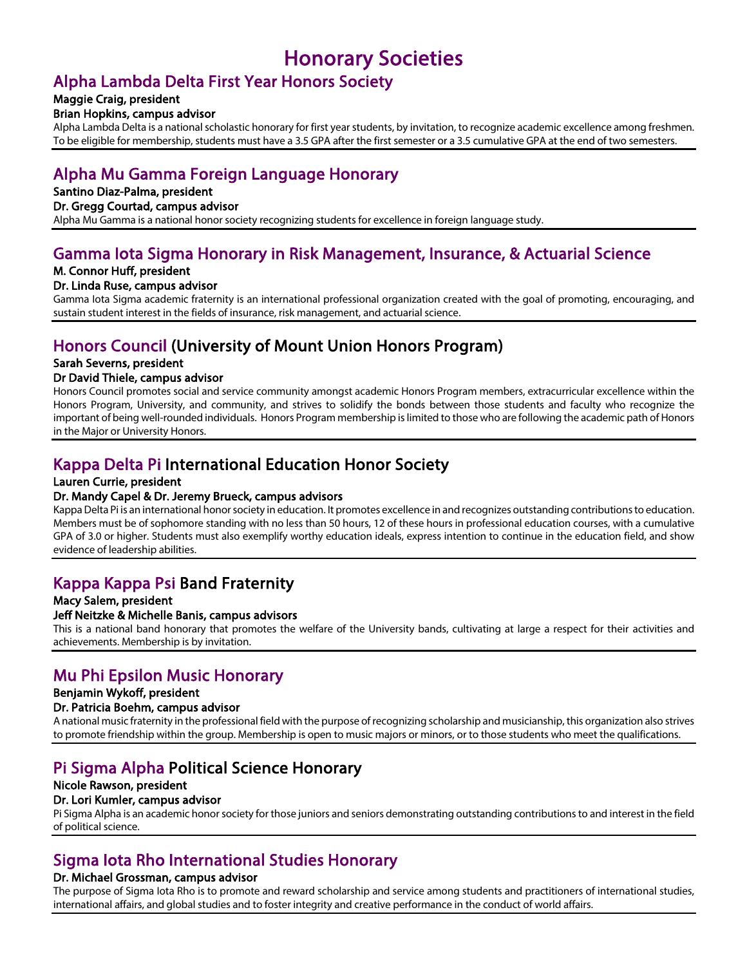## Honorary Societies

# Alpha Lambda Delta First Year Honors Society Maggie Craig, president

Brian Hopkins, campus advisor<br>Alpha Lambda Delta is a national scholastic honorary for first year students, by invitation, to recognize academic excellence among freshmen. To be eligible for membership, students must have a 3.5 GPA after the first semester or a 3.5 cumulative GPA at the end of two semesters.

## Alpha Mu Gamma Foreign Language Honorary

### Santino Diaz-Palma, president

Dr. Gregg Courtad, campus advisor<br>Alpha Mu Gamma is a national honor society recognizing students for excellence in foreign language study.

## Gamma Iota Sigma Honorary in Risk Management, Insurance, & Actuarial Science

## M. Connor Huff, president

### Dr. Linda Ruse, campus advisor

Gamma Iota Sigma academic fraternity is an international professional organization created with the goal of promoting, encouraging, and sustain student interest in the fields of insurance, risk management, and actuarial science.

# Honors Council (University of Mount Union Honors Program) Sarah Severns, president

Dr David Thiele, campus advisor<br>Honors Council promotes social and service community amongst academic Honors Program members, extracurricular excellence within the Honors Program, University, and community, and strives to solidify the bonds between those students and faculty who recognize the important of being well-rounded individuals. Honors Program membership is limited to those who are following the academic path of Honors in the Major or University Honors.

# Kappa Delta Pi International Education Honor Society Lauren Currie, president

## Dr. Mandy Capel & Dr. Jeremy Brueck, campus advisors

Kappa Delta Pi is an international honor society in education. It promotes excellence in and recognizes outstanding contributions to education. Members must be of sophomore standing with no less than 50 hours, 12 of these hours in professional education courses, with a cumulative GPA of 3.0 or higher. Students must also exemplify worthy education ideals, express intention to continue in the education field, and show evidence of leadership abilities.

# Kappa Kappa Psi Band Fraternity Macy Salem, president

### Jeff Neitzke & Michelle Banis, campus advisors

This is a national band honorary that promotes the welfare of the University bands, cultivating at large a respect for their activities and achievements. Membership is by invitation.

## Mu Phi Epsilon Music Honorary

### Benjamin Wykoff, president

### Dr. Patricia Boehm, campus advisor

A national music fraternity in the professional field with the purpose of recognizing scholarship and musicianship, this organization also strives to promote friendship within the group. Membership is open to music majors or minors, or to those students who meet the qualifications.

## Pi Sigma Alpha Political Science Honorary Nicole Rawson, president

Dr. Lori Kumler, campus advisor<br>Pi Sigma Alpha is an academic honor society for those juniors and seniors demonstrating outstanding contributions to and interest in the field of political science.

## Sigma Iota Rho International Studies Honorary Dr. Michael Grossman, campus advisor

The purpose of Sigma Iota Rho is to promote and reward scholarship and service among students and practitioners of international studies, international affairs, and global studies and to foster integrity and creative performance in the conduct of world affairs.